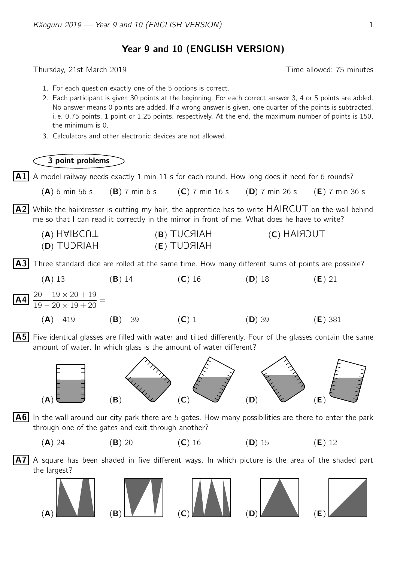Year 9 and 10 (ENGLISH VERSION)

Thursday, 21st March 2019 Time allowed: 75 minutes

- 1. For each question exactly one of the 5 options is correct.
- 2. Each participant is given 30 points at the beginning. For each correct answer 3, 4 or 5 points are added. No answer means 0 points are added. If a wrong answer is given, one quarter of the points is subtracted, i. e. 0.75 points, 1 point or 1.25 points, respectively. At the end, the maximum number of points is 150, the minimum is 0.
- 3. Calculators and other electronic devices are not allowed.



- $|A1|$  A model railway needs exactly 1 min 11 s for each round. How long does it need for 6 rounds?
	- (A) 6 min 56 s (B) 7 min 6 s (C) 7 min 16 s (D) 7 min 26 s (E) 7 min 36 s

 $|$  A2 While the hairdresser is cutting my hair, the apprentice has to write  $HAIRCUT$  on the wall behind me so that I can read it correctly in the mirror in front of me. What does he have to write?

| (V) HAIRCUT | (B) TUCAIAH | $(C)$ HAIROUT |
|-------------|-------------|---------------|
| (D) TUJRIAH | (E) TUDHAH  |               |

 $|A3|$  Three standard dice are rolled at the same time. How many different sums of points are possible?



 $|{\sf A5}|$  Five identical glasses are filled with water and tilted differently. Four of the glasses contain the same amount of water. In which glass is the amount of water different?



 $|{\bf A6}|$  In the wall around our city park there are 5 gates. How many possibilities are there to enter the park through one of the gates and exit through another?

(A) 24 (B) 20 (C) 16 (D) 15 (E) 12

 $|A7|$  A square has been shaded in five different ways. In which picture is the area of the shaded part the largest?

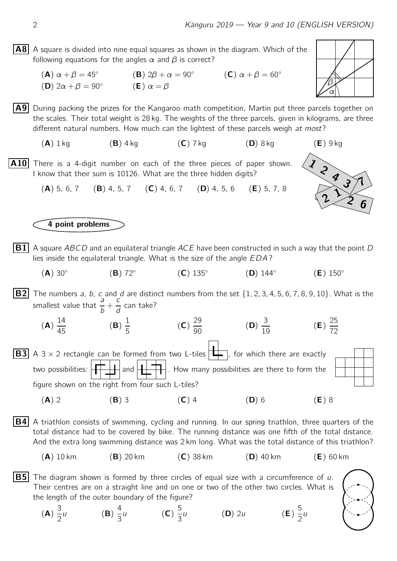## $|AB|$  A square is divided into nine equal squares as shown in the diagram. Which of the following equations for the angles  $\alpha$  and  $\beta$  is correct?

 $(A)$   $\alpha + \beta = 45^\circ$ **(B)**  $2\beta + \alpha = 90^\circ$  **(C)**  $\alpha + \beta = 60^\circ$ (D)  $2\alpha + \beta = 90^\circ$ (**E**)  $\alpha = \beta$ 

 $\vert$  A9 During packing the prizes for the Kangaroo math competition, Martin put three parcels together on the scales. Their total weight is 28 kg. The weights of the three parcels, given in kilograms, are three different natural numbers. How much can the lightest of these parcels weigh at most?

 $(\mathsf{A})$   $1$  kg  $(\mathsf{B})$   $4$  kg  $(\mathsf{C})$   $7$  kg  $(\mathsf{D})$   $8$  kg  $(\mathsf{E})$   $9$  kg

**A10** There is a 4-digit number on each of the three pieces of paper shown.<br>
I know that their sum is 10126. What are the three hidden digits?<br> **(A)** 5, 6, 7 **(B)** 4, 5, 7 **(C)** 4, 6, 7 **(D)** 4, 5, 6 **(E)** 5, 7, 8 I know that their sum is 10126. What are the three hidden digits?

(B) 4, 5, 7 (C) 4, 6, 7 (D) 4, 5, 6 (E) 5, 7, 8

## 4 point problems

- $\boxed{B1}$  A square ABCD and an equilateral triangle ACE have been constructed in such a way that the point D lies inside the equilateral triangle. What is the size of the angle EDA?
	- $(A)$  30 $^{\circ}$ (B) 72◦  $(C)$  135 $^{\circ}$  $(D)$  144 $\circ$  $(E)$  150 $^{\circ}$
- **B2** The numbers a, b, c and d are distinct numbers from the set  $\{1, 2, 3, 4, 5, 6, 7, 8, 9, 10\}$ . What is the smallest value that  $\frac{a}{b}$  + c  $\frac{c}{d}$  can take?
- (A) 14 45 (B) 1 5 (C) 29  $\frac{25}{90}$  (D) 3  $\frac{0}{19}$  (E) 25 72 **B3** A 3  $\times$  2 rectangle can be formed from two L-tiles  $\begin{bmatrix} \begin{matrix} \begin{matrix} \end{matrix} \\ \end{matrix} \end{bmatrix}$ , for which there are exactly two possibilities:  $\left|\prod_{i=1}^{\infty} x_i\right|$  and  $\left|\prod_{i=1}^{\infty} x_i\right|$ . How many possibilities are there to form the

figure shown on the right from four such L-tiles?

- (A) 2 (B) 3 (C) 4 (D) 6 (E) 8
- **B4** A triathlon consists of swimming, cycling and running. In our spring triathlon, three quarters of the total distance had to be covered by bike. The running distance was one fifth of the total distance. And the extra long swimming distance was 2 km long. What was the total distance of this triathlon?
	- $(A)$  10 km  $(B)$  20 km  $(C)$  38 km  $(D)$  40 km  $(E)$  60 km
- **B5** The diagram shown is formed by three circles of equal size with a circumference of u. Their centres are on a straight line and on one or two of the other two circles. What is the length of the outer boundary of the figure?
	- (A) 3 2 u  $(B) \frac{4}{2}$ 3 u (C)  $\frac{5}{3}$ 3  $(D)$  2u





 $2^{1}$ <br>2 1 2 6

 $\frac{2}{5}$ 

5 2 u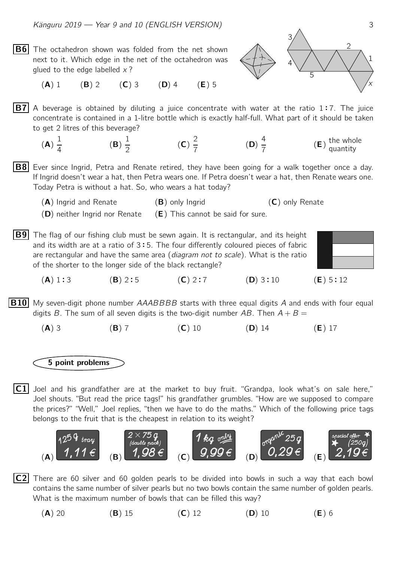$|B6|$  The octahedron shown was folded from the net shown next to it. Which edge in the net of the octahedron was glued to the edge labelled  $x$ ?



(A) 1 (B) 2 (C) 3 (D) 4 (E) 5

 $\overline{B7}$  A beverage is obtained by diluting a juice concentrate with water at the ratio 1:7. The juice concentrate is contained in a 1-litre bottle which is exactly half-full. What part of it should be taken concentrate is contained in a 1-litre bottle which is exactly half-full. What part of it should be taken to get 2 litres of this beverage?

- (A) 1 4 (B) 1 2 (C) 2 7 (D) 4 7  $(E)$  the whole quantity
- $|BB|$  Ever since Ingrid, Petra and Renate retired, they have been going for a walk together once a day. If Ingrid doesn't wear a hat, then Petra wears one. If Petra doesn't wear a hat, then Renate wears one. Today Petra is without a hat. So, who wears a hat today?

 $(A)$  Ingrid and Renate  $(B)$  only Ingrid  $(C)$  only Renate

- $(D)$  neither Ingrid nor Renate  $(E)$  This cannot be said for sure.
- **B9** The flag of our fishing club must be sewn again. It is rectangular, and its height and its width are at a ratio of 3:5. The four differently coloured pieces of fabric<br>are rectangular and have the same area (*diagram not to scale*). What is the ratio are rectangular and have the same area (diagram not to scale). What is the ratio of the shorter to the longer side of the black rectangle?



 $(A) 1:3$  $(B)$  2:5  $(C)$  2:7  $(D)$  3 : 10  $: 10 \text{ (E)} 5 : 12$ 

**B10** My seven-digit phone number AAABBBB starts with three equal digits A and ends with four equal digits B. The sum of all seven digits is the two-digit number AB. Then  $A + B =$ 

(A) 3 (B) 7 (C) 10 (D) 14 (E) 17

5 point problems

 $|C1|$  Joel and his grandfather are at the market to buy fruit. "Grandpa, look what's on sale here," Joel shouts. "But read the price tags!" his grandfather grumbles. "How are we supposed to compare the prices?" "Well," Joel replies, "then we have to do the maths." Which of the following price tags belongs to the fruit that is the cheapest in relation to its weight?



- $|C2|$  There are 60 silver and 60 golden pearls to be divided into bowls in such a way that each bowl contains the same number of silver pearls but no two bowls contain the same number of golden pearls. What is the maximum number of bowls that can be filled this way?
	- (A) 20 (B) 15 (C) 12 (D) 10 (E) 6